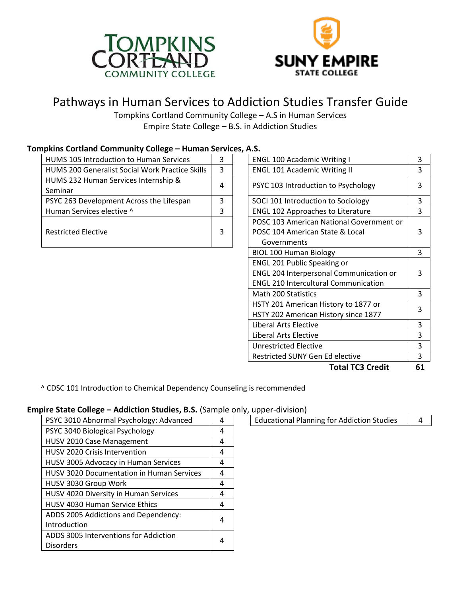



# Pathways in Human Services to Addiction Studies Transfer Guide

Tompkins Cortland Community College – A.S in Human Services Empire State College – B.S. in Addiction Studies

|  | mpkins Cortiand Community College – Human Services, A.S. |   |  |                                          |   |  |  |  |  |
|--|----------------------------------------------------------|---|--|------------------------------------------|---|--|--|--|--|
|  | HUMS 105 Introduction to Human Services                  | 3 |  | <b>ENGL 100 Academic Writing I</b>       |   |  |  |  |  |
|  | <b>HUMS 200 Generalist Social Work Practice Skills</b>   | 3 |  | <b>ENGL 101 Academic Writing II</b>      |   |  |  |  |  |
|  | HUMS 232 Human Services Internship &                     |   |  |                                          | 3 |  |  |  |  |
|  | Seminar                                                  | 4 |  | PSYC 103 Introduction to Psychology      |   |  |  |  |  |
|  | PSYC 263 Development Across the Lifespan                 | 3 |  | SOCI 101 Introduction to Sociology       |   |  |  |  |  |
|  | Human Services elective ^                                | 3 |  | <b>ENGL 102 Approaches to Literature</b> |   |  |  |  |  |
|  |                                                          |   |  | POSC 103 American National Government or |   |  |  |  |  |
|  | <b>Restricted Elective</b>                               | 3 |  | POSC 104 American State & Local          | 3 |  |  |  |  |
|  |                                                          |   |  | Governments                              |   |  |  |  |  |

#### **Tompkins Cortland Community College – Human Services, A.S.**

| .S.                                                                          |    |  |  |                              |   |
|------------------------------------------------------------------------------|----|--|--|------------------------------|---|
| <b>ENGL 100 Academic Writing I</b>                                           | 3  |  |  |                              |   |
| <b>ENGL 101 Academic Writing II</b>                                          |    |  |  |                              |   |
| PSYC 103 Introduction to Psychology                                          |    |  |  |                              |   |
| SOCI 101 Introduction to Sociology                                           |    |  |  |                              |   |
| <b>ENGL 102 Approaches to Literature</b>                                     |    |  |  |                              |   |
| POSC 103 American National Government or                                     |    |  |  |                              |   |
| POSC 104 American State & Local                                              | 3  |  |  |                              |   |
| Governments                                                                  |    |  |  |                              |   |
| <b>BIOL 100 Human Biology</b>                                                | 3  |  |  |                              |   |
| <b>ENGL 201 Public Speaking or</b>                                           |    |  |  |                              |   |
| ENGL 204 Interpersonal Communication or                                      | 3  |  |  |                              |   |
| <b>ENGL 210 Intercultural Communication</b>                                  |    |  |  |                              |   |
| <b>Math 200 Statistics</b>                                                   | 3  |  |  |                              |   |
| HSTY 201 American History to 1877 or<br>HSTY 202 American History since 1877 |    |  |  |                              |   |
|                                                                              |    |  |  | <b>Liberal Arts Elective</b> | 3 |
| Liberal Arts Elective                                                        | 3  |  |  |                              |   |
| Unrestricted Elective                                                        |    |  |  |                              |   |
| Restricted SUNY Gen Ed elective                                              |    |  |  |                              |   |
| <b>Total TC3 Credit</b>                                                      | 61 |  |  |                              |   |

^ CDSC 101 Introduction to Chemical Dependency Counseling is recommended

#### **Empire State College – Addiction Studies, B.S.** (Sample only, upper-division)

| PSYC 3010 Abnormal Psychology: Advanced          | 4 |  |
|--------------------------------------------------|---|--|
| PSYC 3040 Biological Psychology                  |   |  |
| HUSV 2010 Case Management                        |   |  |
| <b>HUSV 2020 Crisis Intervention</b>             |   |  |
| HUSV 3005 Advocacy in Human Services             | 4 |  |
| <b>HUSV 3020 Documentation in Human Services</b> | 4 |  |
| HUSV 3030 Group Work                             |   |  |
| HUSV 4020 Diversity in Human Services            | 4 |  |
| <b>HUSV 4030 Human Service Ethics</b>            | 4 |  |
| ADDS 2005 Addictions and Dependency:             |   |  |
| Introduction                                     |   |  |
| ADDS 3005 Interventions for Addiction            |   |  |
| <b>Disorders</b>                                 | Δ |  |

Educational Planning for Addiction Studies  $\begin{vmatrix} 4 & 4 \\ 4 & 4 \end{vmatrix}$